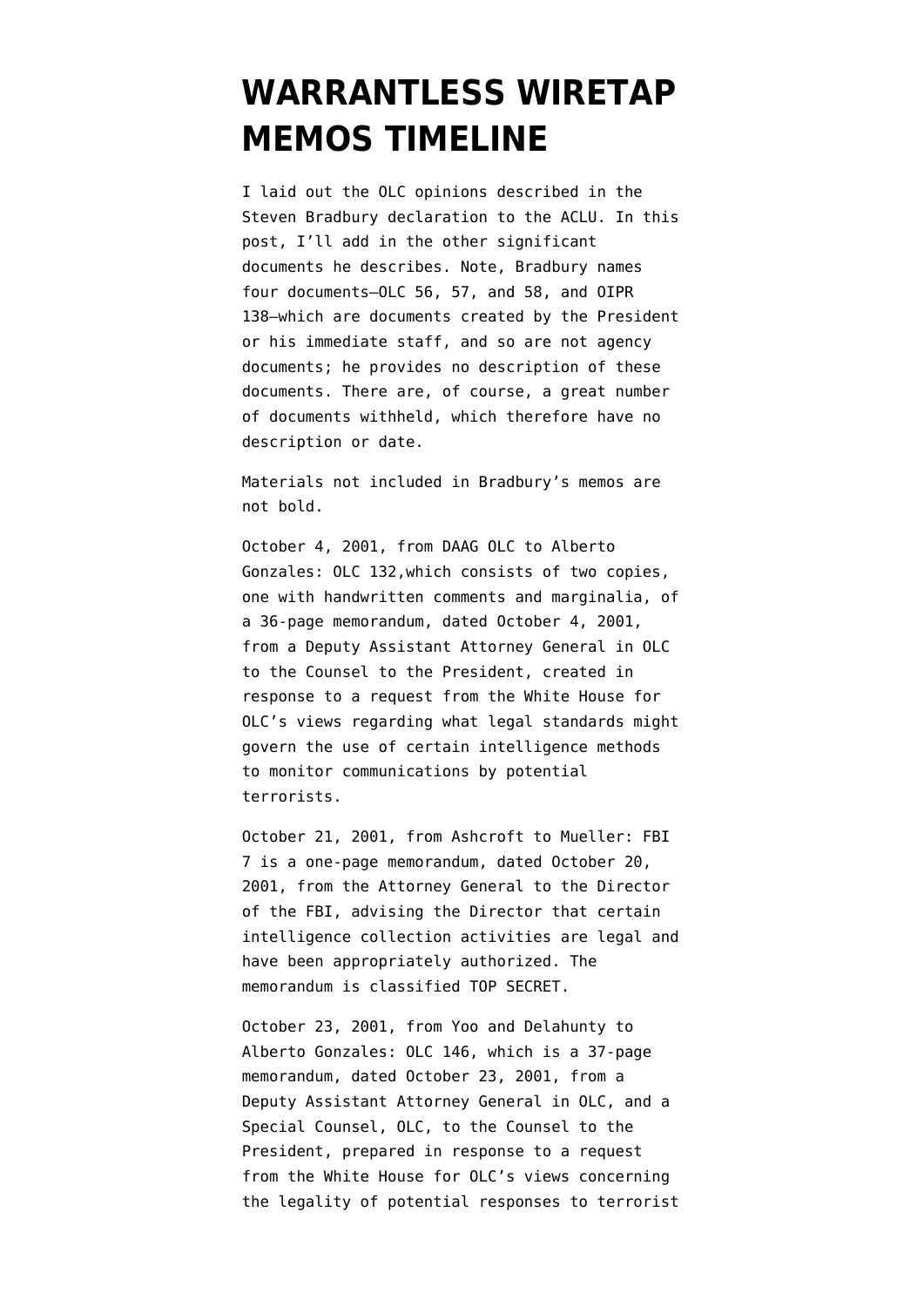## **[WARRANTLESS WIRETAP](https://www.emptywheel.net/2008/04/04/warrantless-wiretap-memos-timeline/) [MEMOS TIMELINE](https://www.emptywheel.net/2008/04/04/warrantless-wiretap-memos-timeline/)**

I laid out the OLC opinions described in the [Steven Bradbury declaration](http://www.aclu.org/pdfs/safefree/aclu_v_doj_2nd_declaration_steven_bradbury.pdf) to the ACLU. In this post, I'll add in the other significant documents he describes. Note, Bradbury names four documents–OLC 56, 57, and 58, and OIPR 138–which are documents created by the President or his immediate staff, and so are not agency documents; he provides no description of these documents. There are, of course, a great number of documents withheld, which therefore have no description or date.

Materials not included in Bradbury's memos are not bold.

October 4, 2001, from DAAG OLC to Alberto Gonzales: OLC 132,which consists of two copies, one with handwritten comments and marginalia, of a 36-page memorandum, dated October 4, 2001, from a Deputy Assistant Attorney General in OLC to the Counsel to the President, created in response to a request from the White House for OLC's views regarding what legal standards might govern the use of certain intelligence methods to monitor communications by potential terrorists.

October 21, 2001, from Ashcroft to Mueller: FBI 7 is a one-page memorandum, dated October 20, 2001, from the Attorney General to the Director of the FBI, advising the Director that certain intelligence collection activities are legal and have been appropriately authorized. The memorandum is classified TOP SECRET.

October 23, 2001, from Yoo and Delahunty to Alberto Gonzales: OLC 146, which is a 37-page memorandum, dated October 23, 2001, from a Deputy Assistant Attorney General in OLC, and a Special Counsel, OLC, to the Counsel to the President, prepared in response to a request from the White House for OLC's views concerning the legality of potential responses to terrorist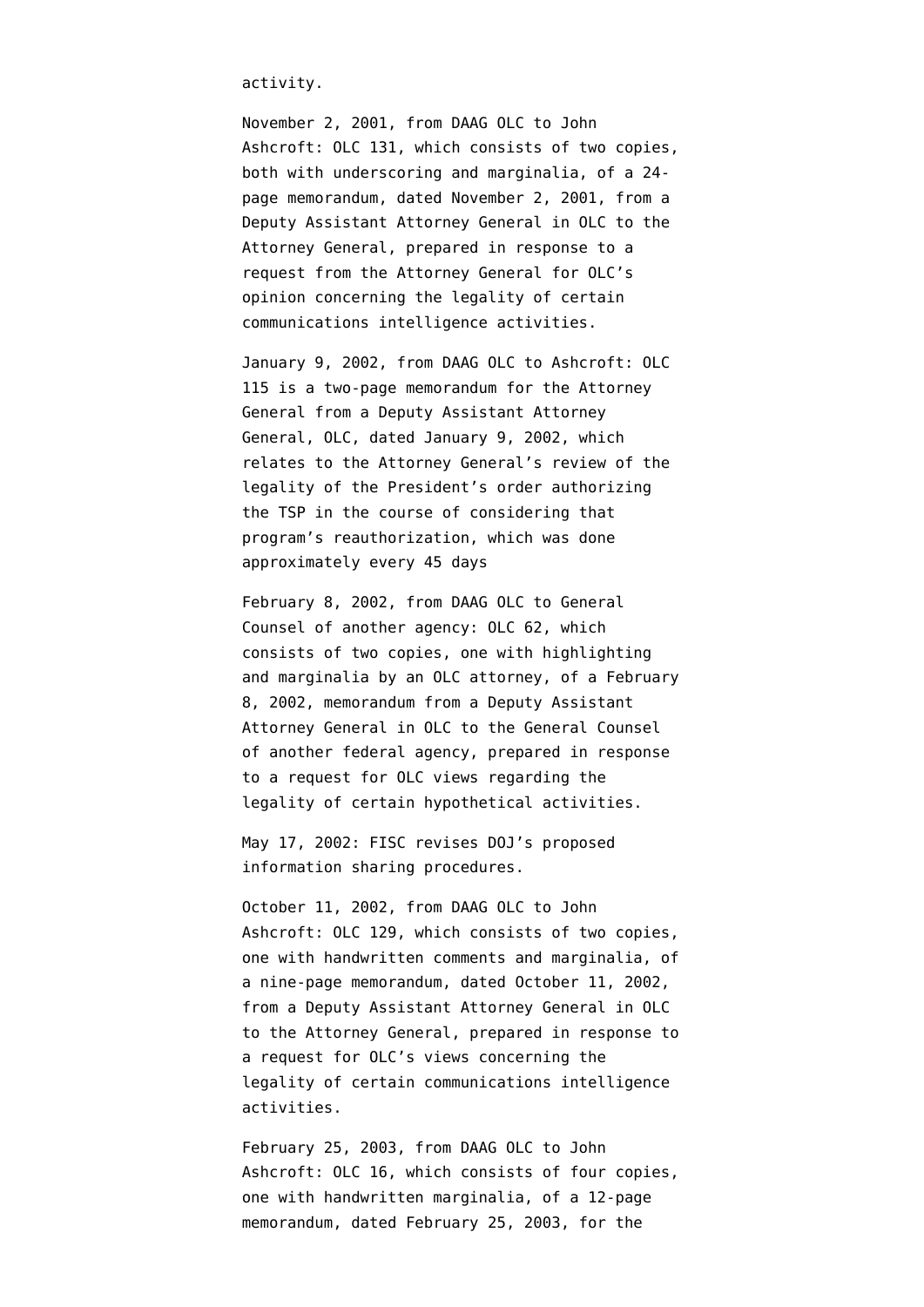activity.

November 2, 2001, from DAAG OLC to John Ashcroft: OLC 131, which consists of two copies, both with underscoring and marginalia, of a 24 page memorandum, dated November 2, 2001, from a Deputy Assistant Attorney General in OLC to the Attorney General, prepared in response to a request from the Attorney General for OLC's opinion concerning the legality of certain communications intelligence activities.

January 9, 2002, from DAAG OLC to Ashcroft: OLC 115 is a two-page memorandum for the Attorney General from a Deputy Assistant Attorney General, OLC, dated January 9, 2002, which relates to the Attorney General's review of the legality of the President's order authorizing the TSP in the course of considering that program's reauthorization, which was done approximately every 45 days

February 8, 2002, from DAAG OLC to General Counsel of another agency: OLC 62, which consists of two copies, one with highlighting and marginalia by an OLC attorney, of a February 8, 2002, memorandum from a Deputy Assistant Attorney General in OLC to the General Counsel of another federal agency, prepared in response to a request for OLC views regarding the legality of certain hypothetical activities.

May 17, 2002: FISC [revises](http://www.fas.org/irp/agency/doj/fisa/fisc051702.html) DOJ's proposed information sharing procedures.

October 11, 2002, from DAAG OLC to John Ashcroft: OLC 129, which consists of two copies, one with handwritten comments and marginalia, of a nine-page memorandum, dated October 11, 2002, from a Deputy Assistant Attorney General in OLC to the Attorney General, prepared in response to a request for OLC's views concerning the legality of certain communications intelligence activities.

February 25, 2003, from DAAG OLC to John Ashcroft: OLC 16, which consists of four copies, one with handwritten marginalia, of a 12-page memorandum, dated February 25, 2003, for the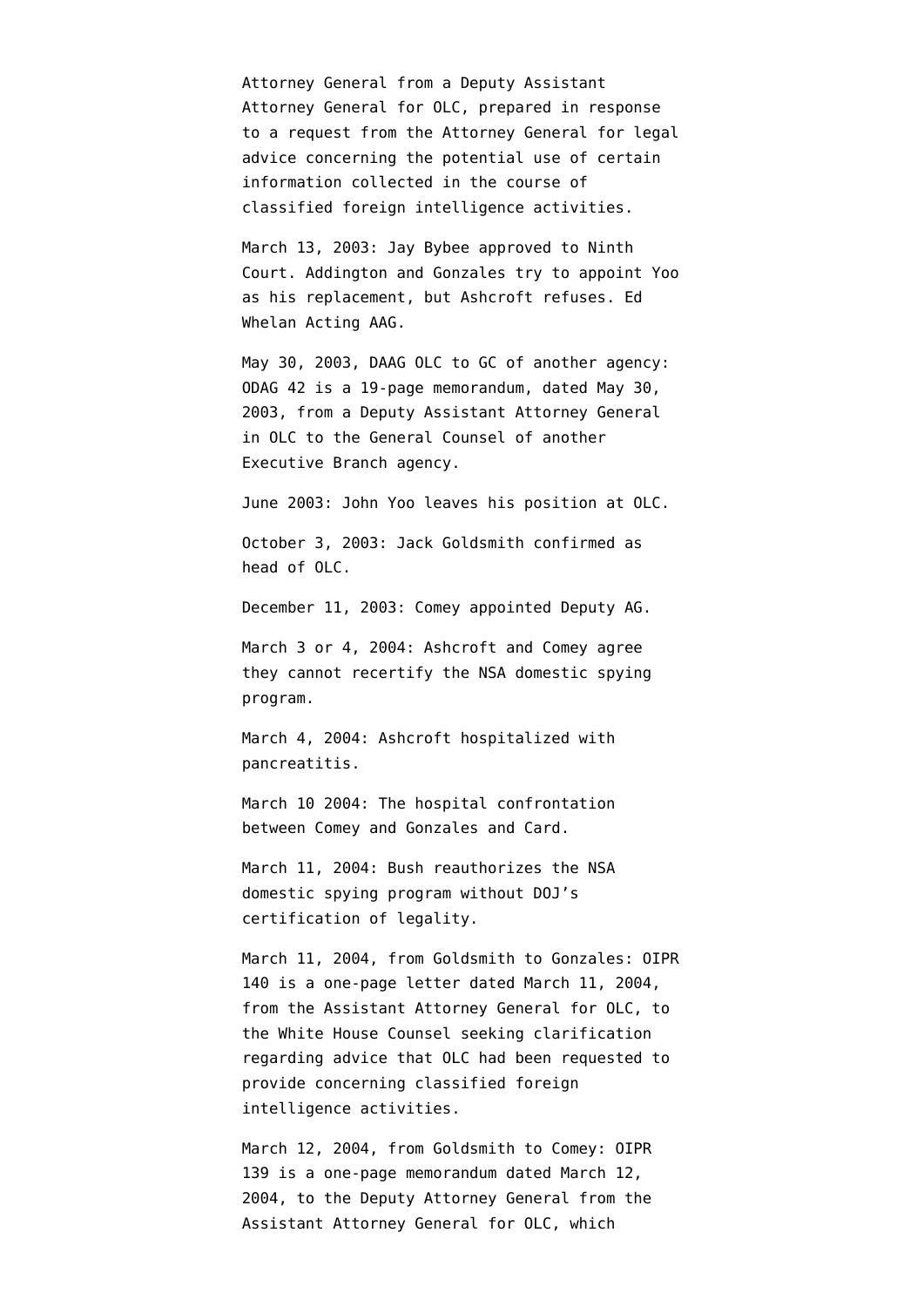Attorney General from a Deputy Assistant Attorney General for OLC, prepared in response to a request from the Attorney General for legal advice concerning the potential use of certain information collected in the course of classified foreign intelligence activities.

March 13, 2003: Jay Bybee approved to Ninth Court. Addington and Gonzales try to appoint Yoo as his replacement, but Ashcroft refuses. Ed Whelan Acting AAG.

May 30, 2003, DAAG OLC to GC of another agency: ODAG 42 is a 19-page memorandum, dated May 30, 2003, from a Deputy Assistant Attorney General in OLC to the General Counsel of another Executive Branch agency.

June 2003: John Yoo leaves his position at OLC.

October 3, 2003: Jack Goldsmith confirmed as head of OLC.

December 11, 2003: Comey appointed Deputy AG.

March 3 or 4, 2004: Ashcroft and Comey agree they cannot recertify the NSA domestic spying program.

March 4, 2004: Ashcroft hospitalized with pancreatitis.

March 10 2004: The hospital confrontation between Comey and Gonzales and Card.

March 11, 2004: Bush reauthorizes the NSA domestic spying program without DOJ's certification of legality.

March 11, 2004, from Goldsmith to Gonzales: OIPR 140 is a one-page letter dated March 11, 2004, from the Assistant Attorney General for OLC, to the White House Counsel seeking clarification regarding advice that OLC had been requested to provide concerning classified foreign intelligence activities.

March 12, 2004, from Goldsmith to Comey: OIPR 139 is a one-page memorandum dated March 12, 2004, to the Deputy Attorney General from the Assistant Attorney General for OLC, which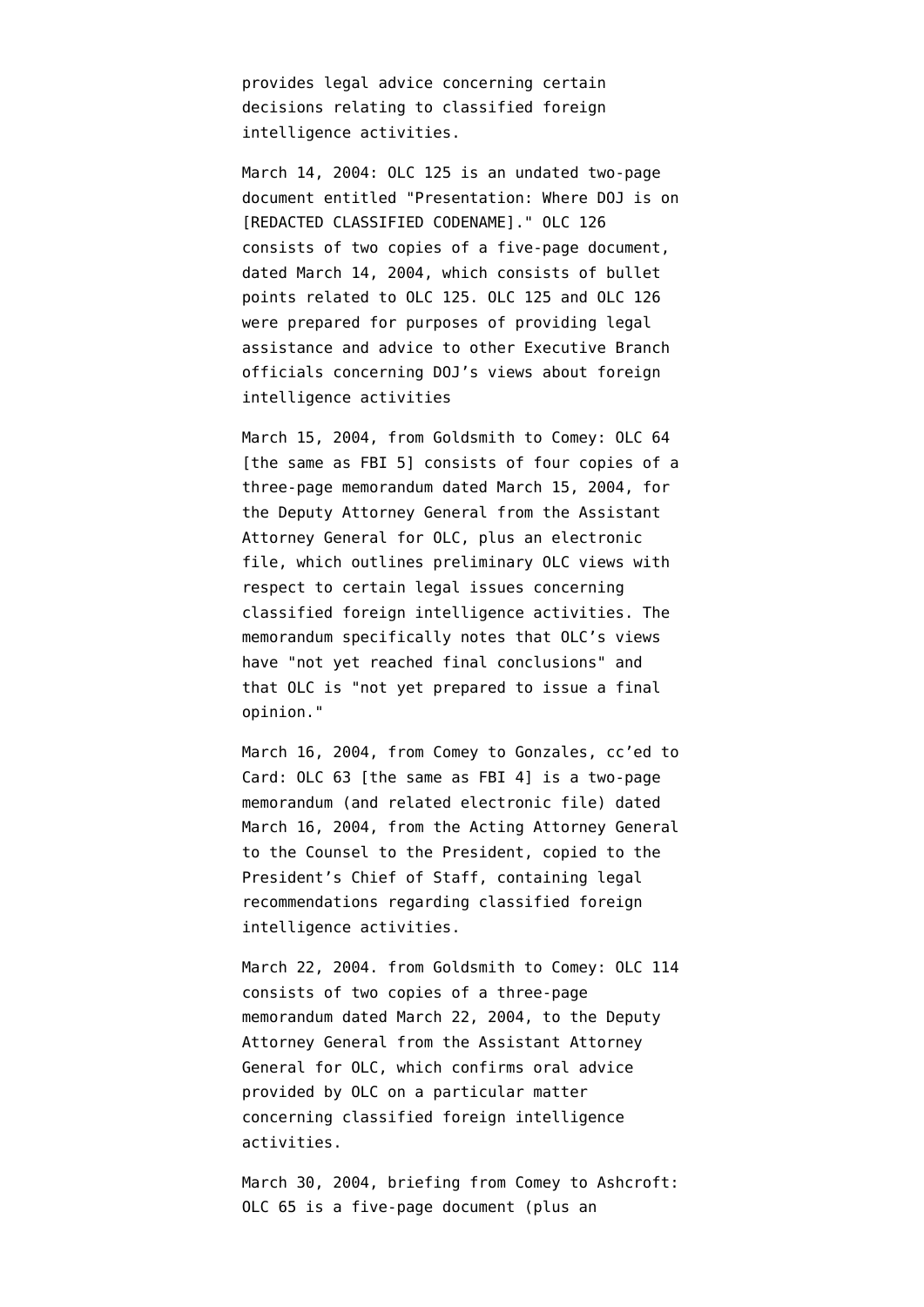provides legal advice concerning certain decisions relating to classified foreign intelligence activities.

March 14, 2004: OLC 125 is an undated two-page document entitled "Presentation: Where DOJ is on [REDACTED CLASSIFIED CODENAME]." OLC 126 consists of two copies of a five-page document, dated March 14, 2004, which consists of bullet points related to OLC 125. OLC 125 and OLC 126 were prepared for purposes of providing legal assistance and advice to other Executive Branch officials concerning DOJ's views about foreign intelligence activities

March 15, 2004, from Goldsmith to Comey: OLC 64 [the same as FBI 5] consists of four copies of a three-page memorandum dated March 15, 2004, for the Deputy Attorney General from the Assistant Attorney General for OLC, plus an electronic file, which outlines preliminary OLC views with respect to certain legal issues concerning classified foreign intelligence activities. The memorandum specifically notes that OLC's views have "not yet reached final conclusions" and that OLC is "not yet prepared to issue a final opinion."

March 16, 2004, from Comey to Gonzales, cc'ed to Card: OLC 63 [the same as FBI 4] is a two-page memorandum (and related electronic file) dated March 16, 2004, from the Acting Attorney General to the Counsel to the President, copied to the President's Chief of Staff, containing legal recommendations regarding classified foreign intelligence activities.

March 22, 2004. from Goldsmith to Comey: OLC 114 consists of two copies of a three-page memorandum dated March 22, 2004, to the Deputy Attorney General from the Assistant Attorney General for OLC, which confirms oral advice provided by OLC on a particular matter concerning classified foreign intelligence activities.

March 30, 2004, briefing from Comey to Ashcroft: OLC 65 is a five-page document (plus an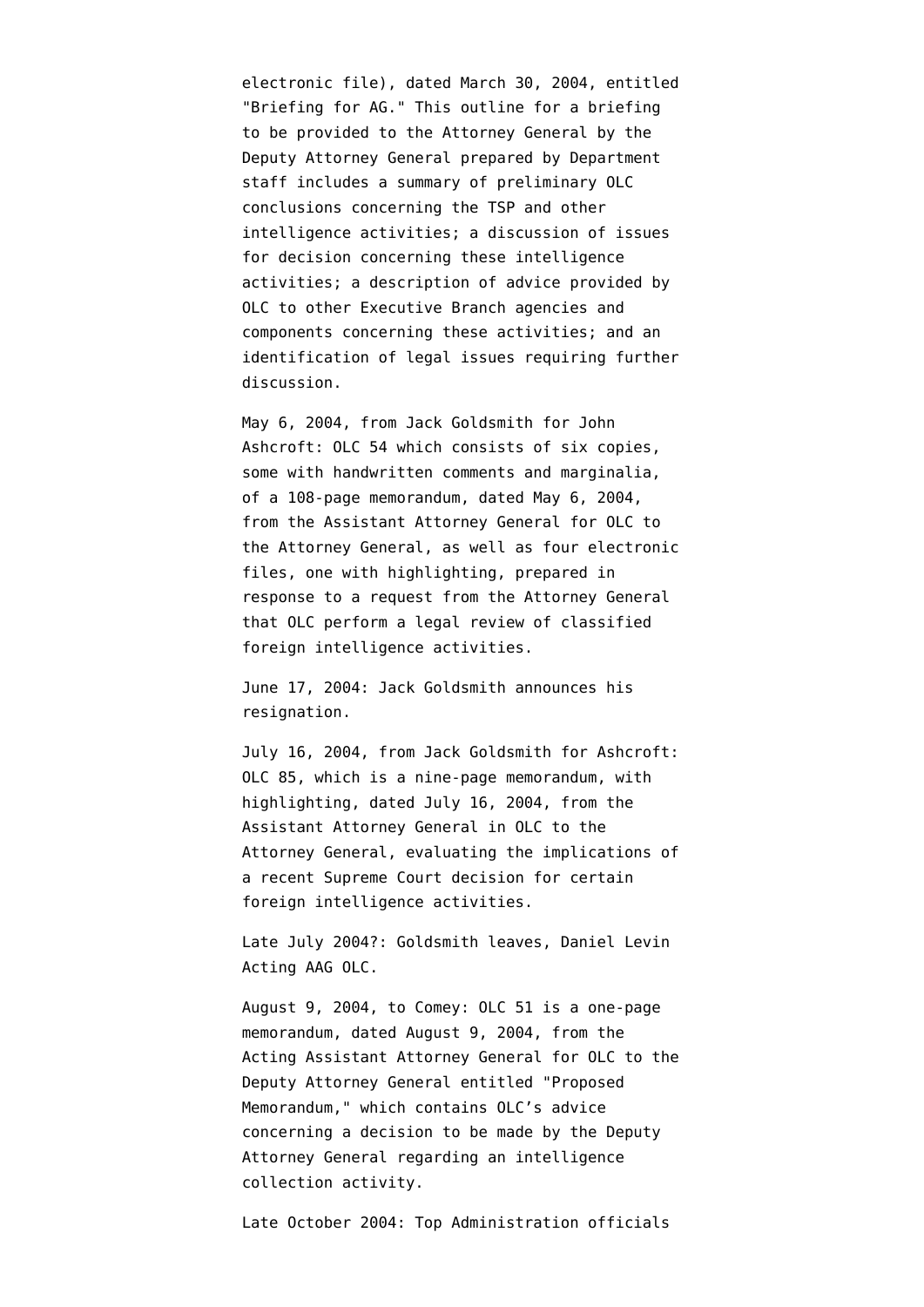electronic file), dated March 30, 2004, entitled "Briefing for AG." This outline for a briefing to be provided to the Attorney General by the Deputy Attorney General prepared by Department staff includes a summary of preliminary OLC conclusions concerning the TSP and other intelligence activities; a discussion of issues for decision concerning these intelligence activities; a description of advice provided by OLC to other Executive Branch agencies and components concerning these activities; and an identification of legal issues requiring further discussion.

May 6, 2004, from Jack Goldsmith for John Ashcroft: OLC 54 which consists of six copies, some with handwritten comments and marginalia, of a 108-page memorandum, dated May 6, 2004, from the Assistant Attorney General for OLC to the Attorney General, as well as four electronic files, one with highlighting, prepared in response to a request from the Attorney General that OLC perform a legal review of classified foreign intelligence activities.

June 17, 2004: Jack Goldsmith announces his resignation.

July 16, 2004, from Jack Goldsmith for Ashcroft: OLC 85, which is a nine-page memorandum, with highlighting, dated July 16, 2004, from the Assistant Attorney General in OLC to the Attorney General, evaluating the implications of a recent Supreme Court decision for certain foreign intelligence activities.

Late July 2004?: Goldsmith leaves, Daniel Levin Acting AAG OLC.

August 9, 2004, to Comey: OLC 51 is a one-page memorandum, dated August 9, 2004, from the Acting Assistant Attorney General for OLC to the Deputy Attorney General entitled "Proposed Memorandum," which contains OLC's advice concerning a decision to be made by the Deputy Attorney General regarding an intelligence collection activity.

Late October 2004: Top Administration officials